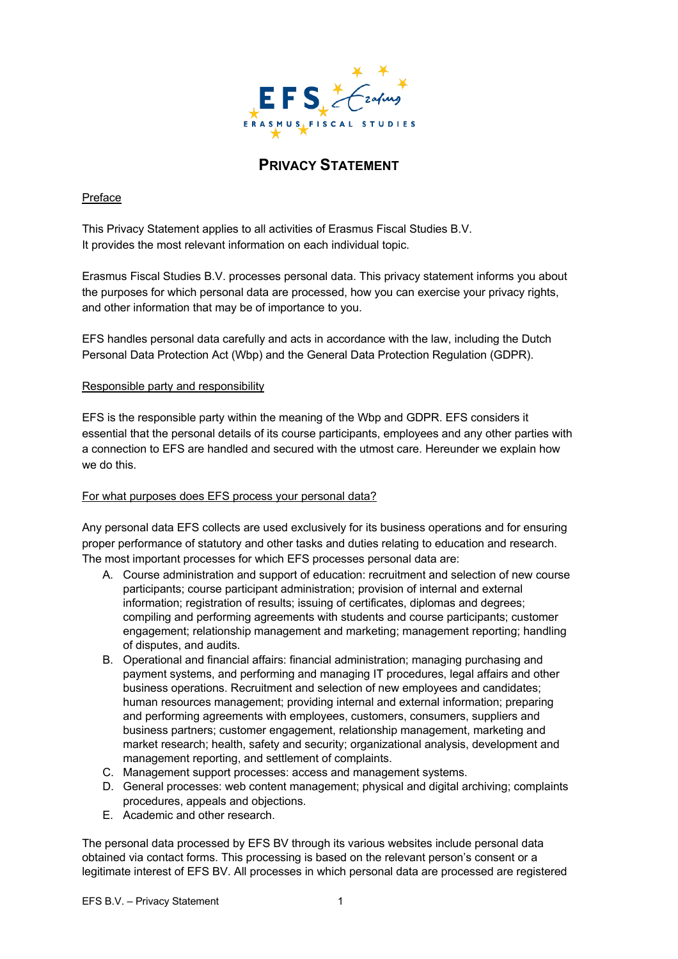

# **PRIVACY STATEMENT**

## Preface

This Privacy Statement applies to all activities of Erasmus Fiscal Studies B.V. It provides the most relevant information on each individual topic.

Erasmus Fiscal Studies B.V. processes personal data. This privacy statement informs you about the purposes for which personal data are processed, how you can exercise your privacy rights, and other information that may be of importance to you.

EFS handles personal data carefully and acts in accordance with the law, including the Dutch Personal Data Protection Act (Wbp) and the General Data Protection Regulation (GDPR).

### Responsible party and responsibility

EFS is the responsible party within the meaning of the Wbp and GDPR. EFS considers it essential that the personal details of its course participants, employees and any other parties with a connection to EFS are handled and secured with the utmost care. Hereunder we explain how we do this.

### For what purposes does EFS process your personal data?

Any personal data EFS collects are used exclusively for its business operations and for ensuring proper performance of statutory and other tasks and duties relating to education and research. The most important processes for which EFS processes personal data are:

- A. Course administration and support of education: recruitment and selection of new course participants; course participant administration; provision of internal and external information; registration of results; issuing of certificates, diplomas and degrees; compiling and performing agreements with students and course participants; customer engagement; relationship management and marketing; management reporting; handling of disputes, and audits.
- B. Operational and financial affairs: financial administration; managing purchasing and payment systems, and performing and managing IT procedures, legal affairs and other business operations. Recruitment and selection of new employees and candidates; human resources management; providing internal and external information; preparing and performing agreements with employees, customers, consumers, suppliers and business partners; customer engagement, relationship management, marketing and market research; health, safety and security; organizational analysis, development and management reporting, and settlement of complaints.
- C. Management support processes: access and management systems.
- D. General processes: web content management; physical and digital archiving; complaints procedures, appeals and objections.
- E. Academic and other research.

The personal data processed by EFS BV through its various websites include personal data obtained via contact forms. This processing is based on the relevant person's consent or a legitimate interest of EFS BV. All processes in which personal data are processed are registered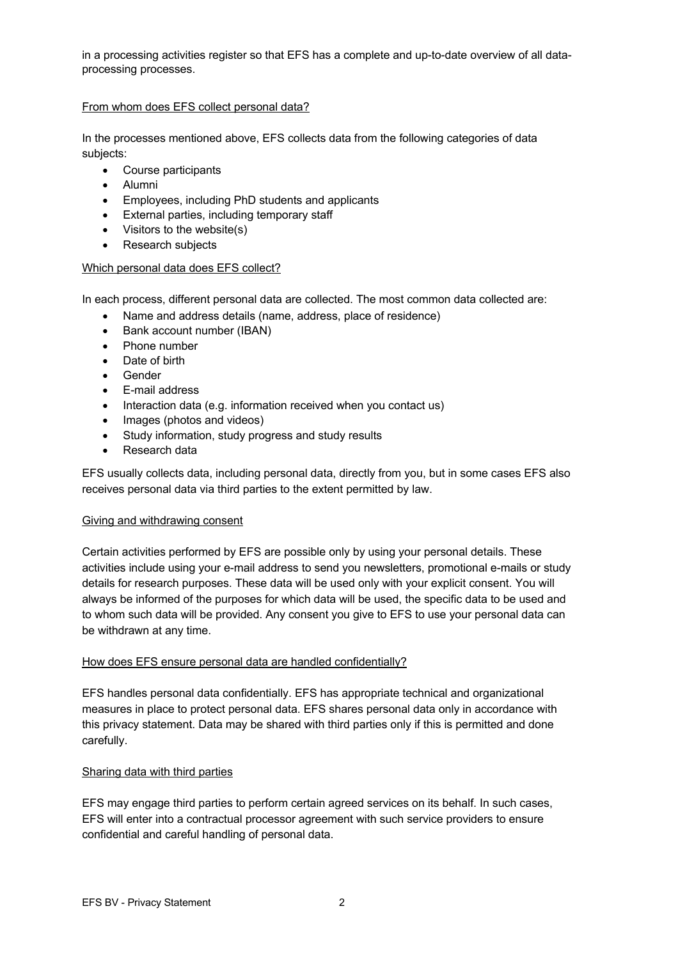in a processing activities register so that EFS has a complete and up-to-date overview of all dataprocessing processes.

## From whom does EFS collect personal data?

In the processes mentioned above, EFS collects data from the following categories of data subjects:

- Course participants
- Alumni
- Employees, including PhD students and applicants
- External parties, including temporary staff
- Visitors to the website(s)
- Research subjects

#### Which personal data does EFS collect?

In each process, different personal data are collected. The most common data collected are:

- Name and address details (name, address, place of residence)
- Bank account number (IBAN)
- Phone number
- Date of birth
- Gender
- E-mail address
- Interaction data (e.g. information received when you contact us)
- Images (photos and videos)
- Study information, study progress and study results
- Research data

EFS usually collects data, including personal data, directly from you, but in some cases EFS also receives personal data via third parties to the extent permitted by law.

#### Giving and withdrawing consent

Certain activities performed by EFS are possible only by using your personal details. These activities include using your e-mail address to send you newsletters, promotional e-mails or study details for research purposes. These data will be used only with your explicit consent. You will always be informed of the purposes for which data will be used, the specific data to be used and to whom such data will be provided. Any consent you give to EFS to use your personal data can be withdrawn at any time.

### How does EFS ensure personal data are handled confidentially?

EFS handles personal data confidentially. EFS has appropriate technical and organizational measures in place to protect personal data. EFS shares personal data only in accordance with this privacy statement. Data may be shared with third parties only if this is permitted and done carefully.

### Sharing data with third parties

EFS may engage third parties to perform certain agreed services on its behalf. In such cases, EFS will enter into a contractual processor agreement with such service providers to ensure confidential and careful handling of personal data.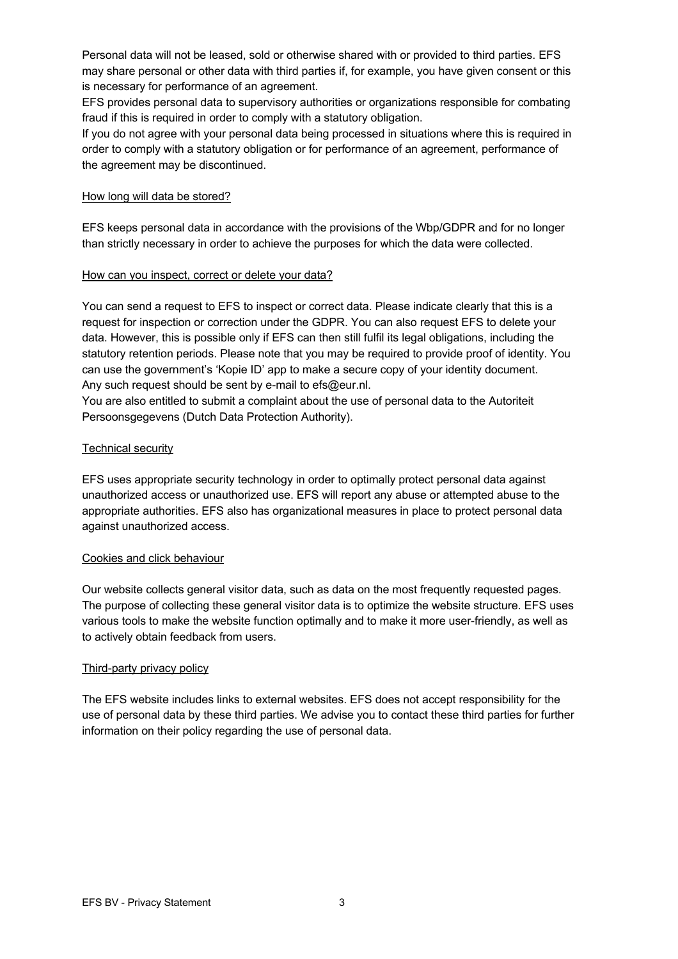Personal data will not be leased, sold or otherwise shared with or provided to third parties. EFS may share personal or other data with third parties if, for example, you have given consent or this is necessary for performance of an agreement.

EFS provides personal data to supervisory authorities or organizations responsible for combating fraud if this is required in order to comply with a statutory obligation.

If you do not agree with your personal data being processed in situations where this is required in order to comply with a statutory obligation or for performance of an agreement, performance of the agreement may be discontinued.

## How long will data be stored?

EFS keeps personal data in accordance with the provisions of the Wbp/GDPR and for no longer than strictly necessary in order to achieve the purposes for which the data were collected.

### How can you inspect, correct or delete your data?

You can send a request to EFS to inspect or correct data. Please indicate clearly that this is a request for inspection or correction under the GDPR. You can also request EFS to delete your data. However, this is possible only if EFS can then still fulfil its legal obligations, including the statutory retention periods. Please note that you may be required to provide proof of identity. You can use the government's 'Kopie ID' app to make a secure copy of your identity document. Any such request should be sent by e-mail to efs@eur.nl.

You are also entitled to submit a complaint about the use of personal data to the Autoriteit Persoonsgegevens (Dutch Data Protection Authority).

## Technical security

EFS uses appropriate security technology in order to optimally protect personal data against unauthorized access or unauthorized use. EFS will report any abuse or attempted abuse to the appropriate authorities. EFS also has organizational measures in place to protect personal data against unauthorized access.

# Cookies and click behaviour

Our website collects general visitor data, such as data on the most frequently requested pages. The purpose of collecting these general visitor data is to optimize the website structure. EFS uses various tools to make the website function optimally and to make it more user-friendly, as well as to actively obtain feedback from users.

### Third-party privacy policy

The EFS website includes links to external websites. EFS does not accept responsibility for the use of personal data by these third parties. We advise you to contact these third parties for further information on their policy regarding the use of personal data.